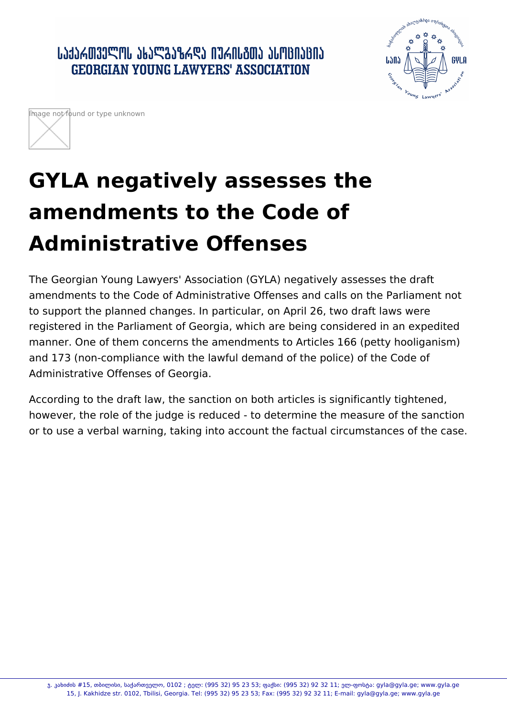․ ԱՆՅՆՃᲗᲕᲔᲚᲝᲡ ᲐᲮᲐᲚᲒᲐᲖᲠᲓᲐ ᲘᲣᲠᲘᲡᲒᲗᲐ ᲐᲡᲝᲪᲘᲐᲪᲘᲐ **GEORGIAN YOUNG LAWYERS' ASSOCIATION** 





## **GYLA negatively assesses the amendments to the Code of Administrative Offenses**

The Georgian Young Lawyers' Association (GYLA) negatively assesses the draft amendments to the Code of Administrative Offenses and calls on the Parliament not to support the planned changes. In particular, on April 26, two draft laws were registered in the Parliament of Georgia, which are being considered in an expedited manner. One of them concerns the amendments to Articles 166 (petty hooliganism) and 173 (non-compliance with the lawful demand of the police) of the Code of Administrative Offenses of Georgia.

According to the draft law, the sanction on both articles is significantly tightened, however, the role of the judge is reduced - to determine the measure of the sanction or to use a verbal warning, taking into account the factual circumstances of the case.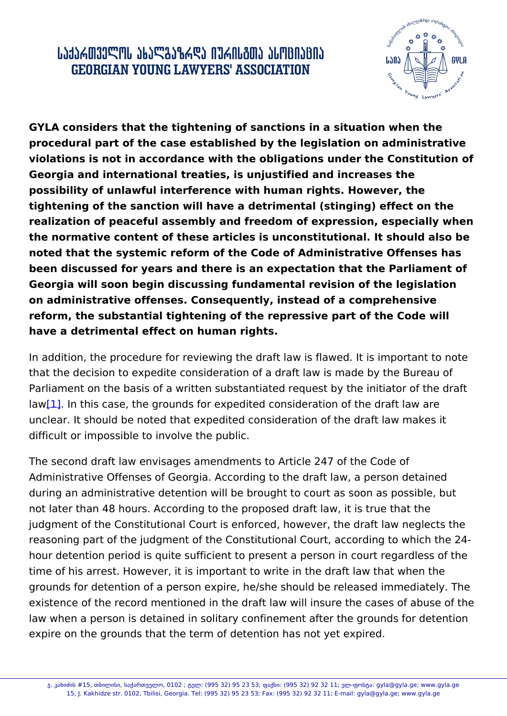GYLA considers that the tightening of sanctions in a situation when procedural part of the case established by the legislation on admin violations is not in accordance with the obligations under the Cons Georgia and international treaties, is unjustified and increases the possibility of unlawful interference with human rights. However, the tightening of the sanction will have a de(tstimegning) and fect on the realization of peaceful assembly and freedom of expression, especi the normative content of these articles is unconstitutional. It shoul noted that the systemic reform of the Code of Administrative Offens been discussed for years and there is an expectation that the Parli Georgia will soon bdeigsionussinfgundamental revision of the legislation on administrative offenses. Consequently, instead of a comprehens reform, the substantial tightening of the repressive part of the Cod have a detrimental effect on human rights.

In addition, the procedure for reviewing the draft law is flawed. It i that the decision to expedite consideration of a draft law is made b Parliament on the basis of a written substantiated request by the in law $1$ ]. In this case, the grounds for expedited consideration of the c unclear. It should be noted that expedited consideration of the draft di[ffi](#page-2-0)cult or impossible to involve the public.

The second draft law envisages amendments to Article 247 of the C Administrative Offenses of Georgia. According to the draft law, a p during an administrative detention will be brought to court as soon not later than 48 hours. According to the proposed draft law, it is t judgment of the Constitutional Court is enforced, however, the draf reasoning part of the judgment of the Constitutional Court, accordi hour detention period is quite sufficient to present a person in cou time of his arrest. However, it is important to write in the draft law grounds for detention of a person expire, he/she should be release existence of the record mentioned in the draft law will insure the c law when a person is detained in solitary confinement after the gro expire on the grounds that the term of detention has not yet expire